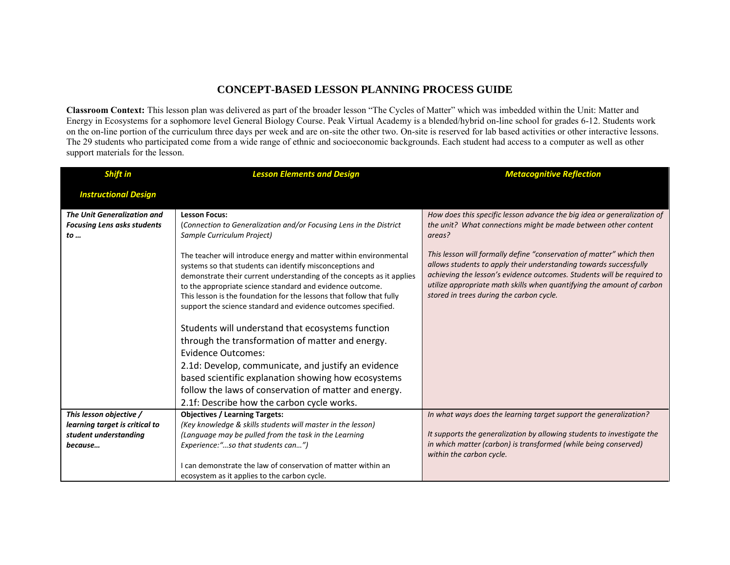## **CONCEPT-BASED LESSON PLANNING PROCESS GUIDE**

**Classroom Context:** This lesson plan was delivered as part of the broader lesson "The Cycles of Matter" which was imbedded within the Unit: Matter and Energy in Ecosystems for a sophomore level General Biology Course. Peak Virtual Academy is a blended/hybrid on-line school for grades 6-12. Students work on the on-line portion of the curriculum three days per week and are on-site the other two. On-site is reserved for lab based activities or other interactive lessons. The 29 students who participated come from a wide range of ethnic and socioeconomic backgrounds. Each student had access to a computer as well as other support materials for the lesson.

| <b>Shift in</b>                                                          | <b>Lesson Elements and Design</b>                                                                                                 | <b>Metacognitive Reflection</b>                                                                                                           |
|--------------------------------------------------------------------------|-----------------------------------------------------------------------------------------------------------------------------------|-------------------------------------------------------------------------------------------------------------------------------------------|
| <b>Instructional Design</b>                                              |                                                                                                                                   |                                                                                                                                           |
|                                                                          |                                                                                                                                   |                                                                                                                                           |
| <b>The Unit Generalization and</b><br><b>Focusing Lens asks students</b> | <b>Lesson Focus:</b><br>(Connection to Generalization and/or Focusing Lens in the District                                        | How does this specific lesson advance the big idea or generalization of<br>the unit? What connections might be made between other content |
| $to \ldots$                                                              | Sample Curriculum Project)                                                                                                        | areas?                                                                                                                                    |
|                                                                          |                                                                                                                                   |                                                                                                                                           |
|                                                                          | The teacher will introduce energy and matter within environmental                                                                 | This lesson will formally define "conservation of matter" which then<br>allows students to apply their understanding towards successfully |
|                                                                          | systems so that students can identify misconceptions and<br>demonstrate their current understanding of the concepts as it applies | achieving the lesson's evidence outcomes. Students will be required to                                                                    |
|                                                                          | to the appropriate science standard and evidence outcome.                                                                         | utilize appropriate math skills when quantifying the amount of carbon                                                                     |
|                                                                          | This lesson is the foundation for the lessons that follow that fully                                                              | stored in trees during the carbon cycle.                                                                                                  |
|                                                                          | support the science standard and evidence outcomes specified.                                                                     |                                                                                                                                           |
|                                                                          | Students will understand that ecosystems function                                                                                 |                                                                                                                                           |
|                                                                          | through the transformation of matter and energy.                                                                                  |                                                                                                                                           |
|                                                                          | <b>Evidence Outcomes:</b>                                                                                                         |                                                                                                                                           |
|                                                                          | 2.1d: Develop, communicate, and justify an evidence                                                                               |                                                                                                                                           |
|                                                                          | based scientific explanation showing how ecosystems                                                                               |                                                                                                                                           |
|                                                                          | follow the laws of conservation of matter and energy.                                                                             |                                                                                                                                           |
|                                                                          | 2.1f: Describe how the carbon cycle works.                                                                                        |                                                                                                                                           |
| This lesson objective /                                                  | <b>Objectives / Learning Targets:</b>                                                                                             | In what ways does the learning target support the generalization?                                                                         |
| learning target is critical to                                           | (Key knowledge & skills students will master in the lesson)                                                                       |                                                                                                                                           |
| student understanding                                                    | (Language may be pulled from the task in the Learning                                                                             | It supports the generalization by allowing students to investigate the<br>in which matter (carbon) is transformed (while being conserved) |
| because                                                                  | Experience:"so that students can")                                                                                                | within the carbon cycle.                                                                                                                  |
|                                                                          | I can demonstrate the law of conservation of matter within an                                                                     |                                                                                                                                           |
|                                                                          | ecosystem as it applies to the carbon cycle.                                                                                      |                                                                                                                                           |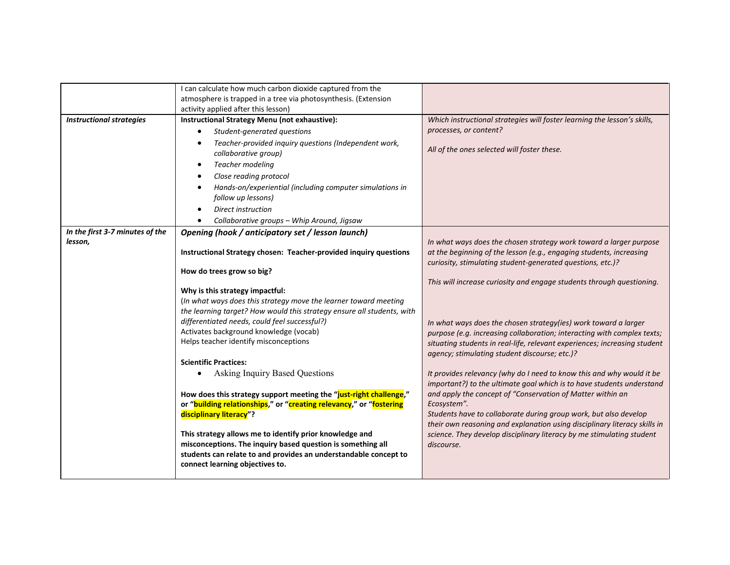|                                            | I can calculate how much carbon dioxide captured from the<br>atmosphere is trapped in a tree via photosynthesis. (Extension<br>activity applied after this lesson)                                                                                                                                                                                                                                                                                                                                                                                                                                                                                                                                                                                                                                                                                                                                                                                  |                                                                                                                                                                                                                                                                                                                                                                                                                                                                                                                                                                                                                                                                                                                                                                                                                                                                                                                                                                                                                                     |
|--------------------------------------------|-----------------------------------------------------------------------------------------------------------------------------------------------------------------------------------------------------------------------------------------------------------------------------------------------------------------------------------------------------------------------------------------------------------------------------------------------------------------------------------------------------------------------------------------------------------------------------------------------------------------------------------------------------------------------------------------------------------------------------------------------------------------------------------------------------------------------------------------------------------------------------------------------------------------------------------------------------|-------------------------------------------------------------------------------------------------------------------------------------------------------------------------------------------------------------------------------------------------------------------------------------------------------------------------------------------------------------------------------------------------------------------------------------------------------------------------------------------------------------------------------------------------------------------------------------------------------------------------------------------------------------------------------------------------------------------------------------------------------------------------------------------------------------------------------------------------------------------------------------------------------------------------------------------------------------------------------------------------------------------------------------|
| <b>Instructional strategies</b>            | Instructional Strategy Menu (not exhaustive):<br>Student-generated questions<br>Teacher-provided inquiry questions (Independent work,<br>٠<br>collaborative group)<br>Teacher modeling<br>$\bullet$<br>Close reading protocol<br>٠<br>Hands-on/experiential (including computer simulations in<br>follow up lessons)<br><b>Direct instruction</b><br>Collaborative groups - Whip Around, Jigsaw                                                                                                                                                                                                                                                                                                                                                                                                                                                                                                                                                     | Which instructional strategies will foster learning the lesson's skills,<br>processes, or content?<br>All of the ones selected will foster these.                                                                                                                                                                                                                                                                                                                                                                                                                                                                                                                                                                                                                                                                                                                                                                                                                                                                                   |
| In the first 3-7 minutes of the<br>lesson, | Opening (hook / anticipatory set / lesson launch)<br>Instructional Strategy chosen: Teacher-provided inquiry questions<br>How do trees grow so big?<br>Why is this strategy impactful:<br>(In what ways does this strategy move the learner toward meeting<br>the learning target? How would this strategy ensure all students, with<br>differentiated needs, could feel successful?)<br>Activates background knowledge (vocab)<br>Helps teacher identify misconceptions<br><b>Scientific Practices:</b><br>Asking Inquiry Based Questions<br>How does this strategy support meeting the "just-right challenge,"<br>or "building relationships," or "creating relevancy," or "fostering<br>disciplinary literacy"?<br>This strategy allows me to identify prior knowledge and<br>misconceptions. The inquiry based question is something all<br>students can relate to and provides an understandable concept to<br>connect learning objectives to. | In what ways does the chosen strategy work toward a larger purpose<br>at the beginning of the lesson (e.g., engaging students, increasing<br>curiosity, stimulating student-generated questions, etc.)?<br>This will increase curiosity and engage students through questioning.<br>In what ways does the chosen strategy(ies) work toward a larger<br>purpose (e.g. increasing collaboration; interacting with complex texts;<br>situating students in real-life, relevant experiences; increasing student<br>agency; stimulating student discourse; etc.)?<br>It provides relevancy (why do I need to know this and why would it be<br>important?) to the ultimate goal which is to have students understand<br>and apply the concept of "Conservation of Matter within an<br>Ecosystem".<br>Students have to collaborate during group work, but also develop<br>their own reasoning and explanation using disciplinary literacy skills in<br>science. They develop disciplinary literacy by me stimulating student<br>discourse. |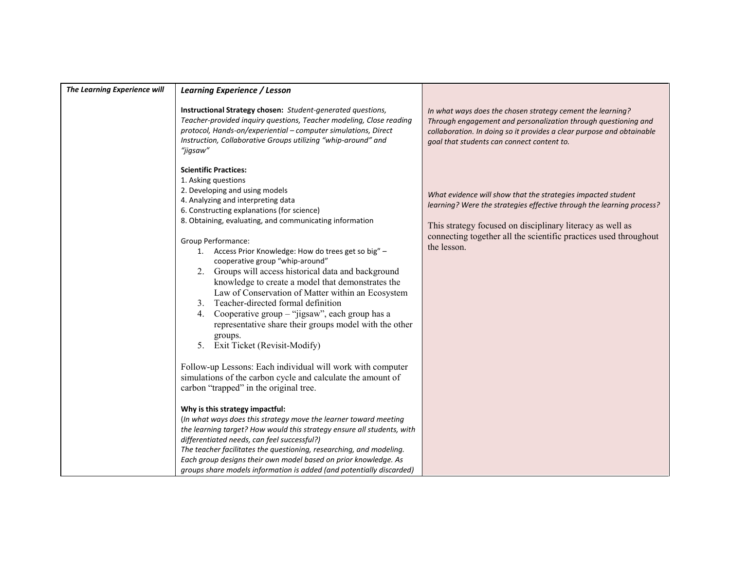| The Learning Experience will | <b>Learning Experience / Lesson</b>                                                                                                                                                                                                                                                                                                                                                                                                                                                                                                                                                                                                                                                                                                                                                                                                                                                                                                                                                                                                                                                                                                                                                                                                                                                                                                                                                         |                                                                                                                                                                                                                                                                                       |
|------------------------------|---------------------------------------------------------------------------------------------------------------------------------------------------------------------------------------------------------------------------------------------------------------------------------------------------------------------------------------------------------------------------------------------------------------------------------------------------------------------------------------------------------------------------------------------------------------------------------------------------------------------------------------------------------------------------------------------------------------------------------------------------------------------------------------------------------------------------------------------------------------------------------------------------------------------------------------------------------------------------------------------------------------------------------------------------------------------------------------------------------------------------------------------------------------------------------------------------------------------------------------------------------------------------------------------------------------------------------------------------------------------------------------------|---------------------------------------------------------------------------------------------------------------------------------------------------------------------------------------------------------------------------------------------------------------------------------------|
|                              | Instructional Strategy chosen: Student-generated questions,<br>Teacher-provided inquiry questions, Teacher modeling, Close reading<br>protocol, Hands-on/experiential - computer simulations, Direct<br>Instruction, Collaborative Groups utilizing "whip-around" and<br>"jigsaw"                                                                                                                                                                                                                                                                                                                                                                                                                                                                                                                                                                                                                                                                                                                                                                                                                                                                                                                                                                                                                                                                                                           | In what ways does the chosen strategy cement the learning?<br>Through engagement and personalization through questioning and<br>collaboration. In doing so it provides a clear purpose and obtainable<br>goal that students can connect content to.                                   |
|                              | <b>Scientific Practices:</b><br>1. Asking questions<br>2. Developing and using models<br>4. Analyzing and interpreting data<br>6. Constructing explanations (for science)<br>8. Obtaining, evaluating, and communicating information<br>Group Performance:<br>1. Access Prior Knowledge: How do trees get so big" -<br>cooperative group "whip-around"<br>Groups will access historical data and background<br>2.<br>knowledge to create a model that demonstrates the<br>Law of Conservation of Matter within an Ecosystem<br>Teacher-directed formal definition<br>3 <sub>1</sub><br>Cooperative group – "jigsaw", each group has a<br>4.<br>representative share their groups model with the other<br>groups.<br>5 <sub>1</sub><br>Exit Ticket (Revisit-Modify)<br>Follow-up Lessons: Each individual will work with computer<br>simulations of the carbon cycle and calculate the amount of<br>carbon "trapped" in the original tree.<br>Why is this strategy impactful:<br>(In what ways does this strategy move the learner toward meeting<br>the learning target? How would this strategy ensure all students, with<br>differentiated needs, can feel successful?)<br>The teacher facilitates the questioning, researching, and modeling.<br>Each group designs their own model based on prior knowledge. As<br>groups share models information is added (and potentially discarded) | What evidence will show that the strategies impacted student<br>learning? Were the strategies effective through the learning process?<br>This strategy focused on disciplinary literacy as well as<br>connecting together all the scientific practices used throughout<br>the lesson. |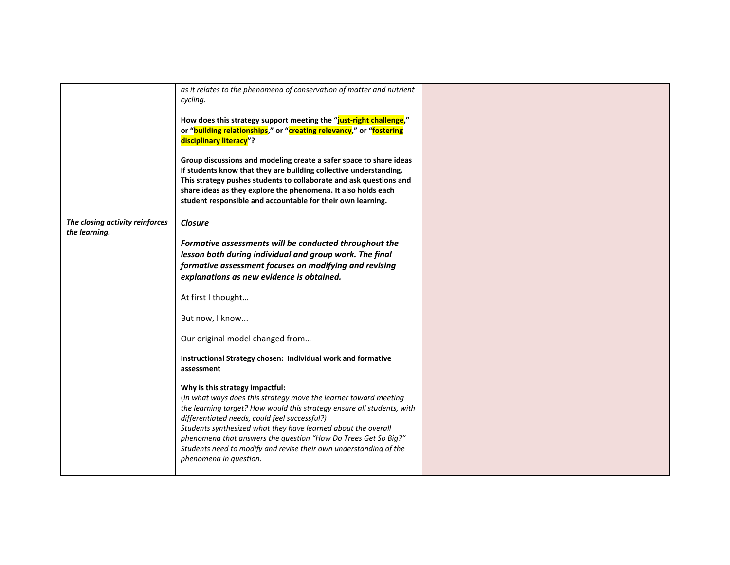|                                                  | as it relates to the phenomena of conservation of matter and nutrient<br>cycling.                                                       |  |
|--------------------------------------------------|-----------------------------------------------------------------------------------------------------------------------------------------|--|
|                                                  |                                                                                                                                         |  |
|                                                  | How does this strategy support meeting the "just-right challenge,"                                                                      |  |
|                                                  | or "building relationships," or "creating relevancy," or "fostering<br>disciplinary literacy"?                                          |  |
|                                                  |                                                                                                                                         |  |
|                                                  | Group discussions and modeling create a safer space to share ideas                                                                      |  |
|                                                  | if students know that they are building collective understanding.<br>This strategy pushes students to collaborate and ask questions and |  |
|                                                  | share ideas as they explore the phenomena. It also holds each                                                                           |  |
|                                                  | student responsible and accountable for their own learning.                                                                             |  |
|                                                  |                                                                                                                                         |  |
| The closing activity reinforces<br>the learning. | <b>Closure</b>                                                                                                                          |  |
|                                                  | Formative assessments will be conducted throughout the                                                                                  |  |
|                                                  | lesson both during individual and group work. The final                                                                                 |  |
|                                                  | formative assessment focuses on modifying and revising                                                                                  |  |
|                                                  | explanations as new evidence is obtained.                                                                                               |  |
|                                                  | At first I thought                                                                                                                      |  |
|                                                  | But now, I know                                                                                                                         |  |
|                                                  | Our original model changed from                                                                                                         |  |
|                                                  | Instructional Strategy chosen: Individual work and formative                                                                            |  |
|                                                  | assessment                                                                                                                              |  |
|                                                  | Why is this strategy impactful:                                                                                                         |  |
|                                                  | (In what ways does this strategy move the learner toward meeting                                                                        |  |
|                                                  | the learning target? How would this strategy ensure all students, with<br>differentiated needs, could feel successful?)                 |  |
|                                                  | Students synthesized what they have learned about the overall                                                                           |  |
|                                                  | phenomena that answers the question "How Do Trees Get So Big?"                                                                          |  |
|                                                  | Students need to modify and revise their own understanding of the                                                                       |  |
|                                                  | phenomena in question.                                                                                                                  |  |
|                                                  |                                                                                                                                         |  |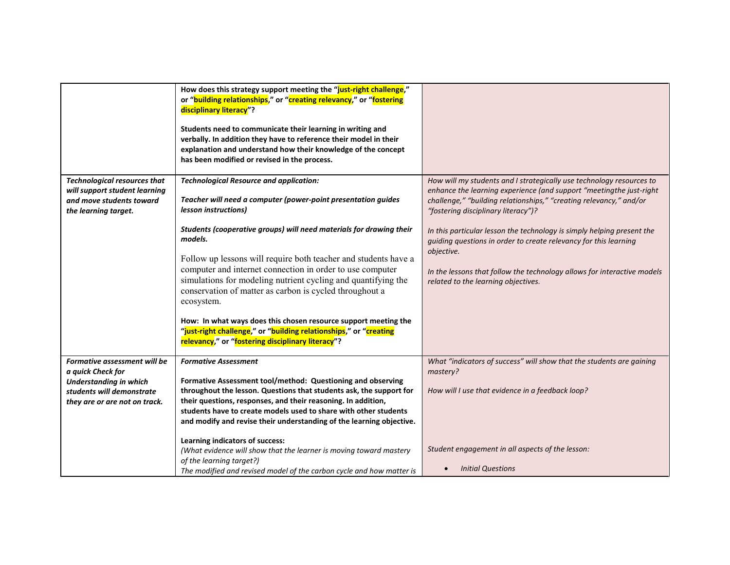|                                                  | How does this strategy support meeting the "just-right challenge,"<br>or "building relationships," or "creating relevancy," or "fostering<br>disciplinary literacy"?                                                                             |                                                                                                                                            |
|--------------------------------------------------|--------------------------------------------------------------------------------------------------------------------------------------------------------------------------------------------------------------------------------------------------|--------------------------------------------------------------------------------------------------------------------------------------------|
|                                                  | Students need to communicate their learning in writing and<br>verbally. In addition they have to reference their model in their<br>explanation and understand how their knowledge of the concept<br>has been modified or revised in the process. |                                                                                                                                            |
| <b>Technological resources that</b>              | <b>Technological Resource and application:</b>                                                                                                                                                                                                   | How will my students and I strategically use technology resources to                                                                       |
| will support student learning                    |                                                                                                                                                                                                                                                  | enhance the learning experience (and support "meetingthe just-right                                                                        |
| and move students toward<br>the learning target. | Teacher will need a computer (power-point presentation guides<br>lesson instructions)                                                                                                                                                            | challenge," "building relationships," "creating relevancy," and/or<br>"fostering disciplinary literacy")?                                  |
|                                                  | Students (cooperative groups) will need materials for drawing their<br>models.                                                                                                                                                                   | In this particular lesson the technology is simply helping present the<br>guiding questions in order to create relevancy for this learning |
|                                                  | Follow up lessons will require both teacher and students have a                                                                                                                                                                                  | objective.                                                                                                                                 |
|                                                  | computer and internet connection in order to use computer                                                                                                                                                                                        | In the lessons that follow the technology allows for interactive models                                                                    |
|                                                  | simulations for modeling nutrient cycling and quantifying the<br>conservation of matter as carbon is cycled throughout a                                                                                                                         | related to the learning objectives.                                                                                                        |
|                                                  | ecosystem.                                                                                                                                                                                                                                       |                                                                                                                                            |
|                                                  | How: In what ways does this chosen resource support meeting the<br>"just-right challenge," or "building relationships," or "creating<br>relevancy," or "fostering disciplinary literacy"?                                                        |                                                                                                                                            |
| Formative assessment will be                     | <b>Formative Assessment</b>                                                                                                                                                                                                                      | What "indicators of success" will show that the students are gaining                                                                       |
| a quick Check for                                |                                                                                                                                                                                                                                                  | mastery?                                                                                                                                   |
| <b>Understanding in which</b>                    | Formative Assessment tool/method: Questioning and observing                                                                                                                                                                                      |                                                                                                                                            |
| students will demonstrate                        | throughout the lesson. Questions that students ask, the support for<br>their questions, responses, and their reasoning. In addition,                                                                                                             | How will I use that evidence in a feedback loop?                                                                                           |
| they are or are not on track.                    | students have to create models used to share with other students                                                                                                                                                                                 |                                                                                                                                            |
|                                                  | and modify and revise their understanding of the learning objective.                                                                                                                                                                             |                                                                                                                                            |
|                                                  |                                                                                                                                                                                                                                                  |                                                                                                                                            |
|                                                  | Learning indicators of success:                                                                                                                                                                                                                  | Student engagement in all aspects of the lesson:                                                                                           |
|                                                  | (What evidence will show that the learner is moving toward mastery<br>of the learning target?)                                                                                                                                                   |                                                                                                                                            |
|                                                  | The modified and revised model of the carbon cycle and how matter is                                                                                                                                                                             | <b>Initial Questions</b>                                                                                                                   |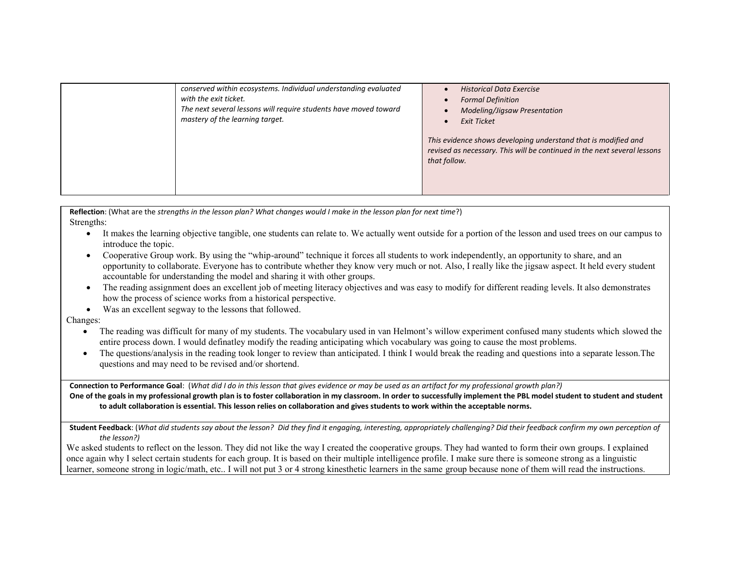| conserved within ecosystems. Individual understanding evaluated<br>with the exit ticket.<br>The next several lessons will require students have moved toward<br>mastery of the learning target. | <b>Historical Data Exercise</b><br><b>Formal Definition</b><br>Modeling/Jigsaw Presentation<br><b>Exit Ticket</b><br>This evidence shows developing understand that is modified and<br>revised as necessary. This will be continued in the next several lessons<br>that follow. |
|-------------------------------------------------------------------------------------------------------------------------------------------------------------------------------------------------|---------------------------------------------------------------------------------------------------------------------------------------------------------------------------------------------------------------------------------------------------------------------------------|
|-------------------------------------------------------------------------------------------------------------------------------------------------------------------------------------------------|---------------------------------------------------------------------------------------------------------------------------------------------------------------------------------------------------------------------------------------------------------------------------------|

**Reflection**: (What are the *strengths in the lesson plan? What changes would I make in the lesson plan for next time*?) Strengths:

- It makes the learning objective tangible, one students can relate to. We actually went outside for a portion of the lesson and used trees on our campus to introduce the topic.
- Cooperative Group work. By using the "whip-around" technique it forces all students to work independently, an opportunity to share, and an opportunity to collaborate. Everyone has to contribute whether they know very much or not. Also, I really like the jigsaw aspect. It held every student accountable for understanding the model and sharing it with other groups.
- The reading assignment does an excellent job of meeting literacy objectives and was easy to modify for different reading levels. It also demonstrates how the process of science works from a historical perspective.
- Was an excellent segway to the lessons that followed.

Changes:

- The reading was difficult for many of my students. The vocabulary used in van Helmont's willow experiment confused many students which slowed the entire process down. I would definatley modify the reading anticipating which vocabulary was going to cause the most problems.
- The questions/analysis in the reading took longer to review than anticipated. I think I would break the reading and questions into a separate lesson.The questions and may need to be revised and/or shortend.

**Connection to Performance Goal**: (*What did I do in this lesson that gives evidence or may be used as an artifact for my professional growth plan?)*

**One of the goals in my professional growth plan is to foster collaboration in my classroom. In order to successfully implement the PBL model student to student and student to adult collaboration is essential. This lesson relies on collaboration and gives students to work within the acceptable norms.**

**Student Feedback**: (*What did students say about the lesson? Did they find it engaging, interesting, appropriately challenging? Did their feedback confirm my own perception of the lesson?)*

We asked students to reflect on the lesson. They did not like the way I created the cooperative groups. They had wanted to form their own groups. I explained once again why I select certain students for each group. It is based on their multiple intelligence profile. I make sure there is someone strong as a linguistic learner, someone strong in logic/math, etc.. I will not put 3 or 4 strong kinesthetic learners in the same group because none of them will read the instructions.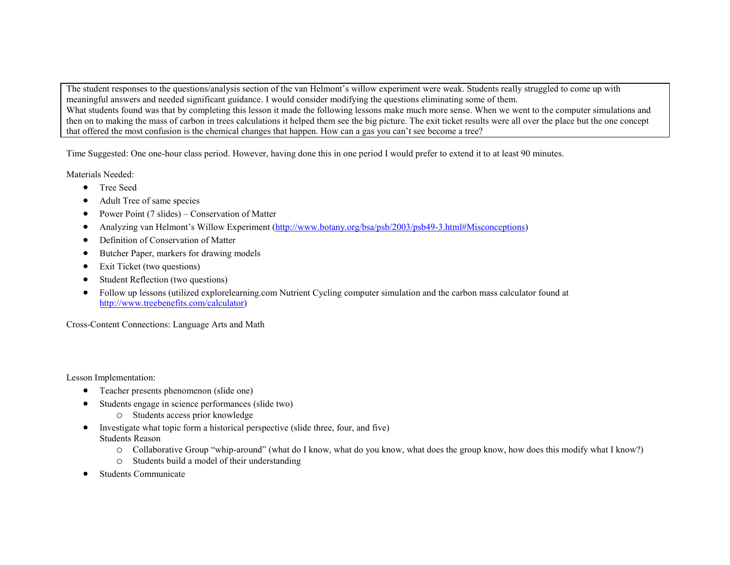The student responses to the questions/analysis section of the van Helmont's willow experiment were weak. Students really struggled to come up with meaningful answers and needed significant guidance. I would consider modifying the questions eliminating some of them. What students found was that by completing this lesson it made the following lessons make much more sense. When we went to the computer simulations and then on to making the mass of carbon in trees calculations it helped them see the big picture. The exit ticket results were all over the place but the one concept that offered the most confusion is the chemical changes that happen. How can a gas you can't see become a tree?

Time Suggested: One one-hour class period. However, having done this in one period I would prefer to extend it to at least 90 minutes.

Materials Needed:

- Tree Seed
- Adult Tree of same species
- Power Point (7 slides) Conservation of Matter
- Analyzing van Helmont's Willow Experiment [\(http://www.botany.org/bsa/psb/2003/psb49-3.html#Misconceptions\)](http://www.botany.org/bsa/psb/2003/psb49-3.html#Misconceptions)
- Definition of Conservation of Matter
- Butcher Paper, markers for drawing models
- Exit Ticket (two questions)
- Student Reflection (two questions)
- Follow up lessons (utilized explorelearning.com Nutrient Cycling computer simulation and the carbon mass calculator found at [http://www.treebenefits.com/calculator\)](http://www.treebenefits.com/calculator)

Cross-Content Connections: Language Arts and Math

Lesson Implementation:

- Teacher presents phenomenon (slide one)
- Students engage in science performances (slide two)
	- o Students access prior knowledge
- Investigate what topic form a historical perspective (slide three, four, and five) Students Reason
	- o Collaborative Group "whip-around" (what do I know, what do you know, what does the group know, how does this modify what I know?)
	- o Students build a model of their understanding
- Students Communicate